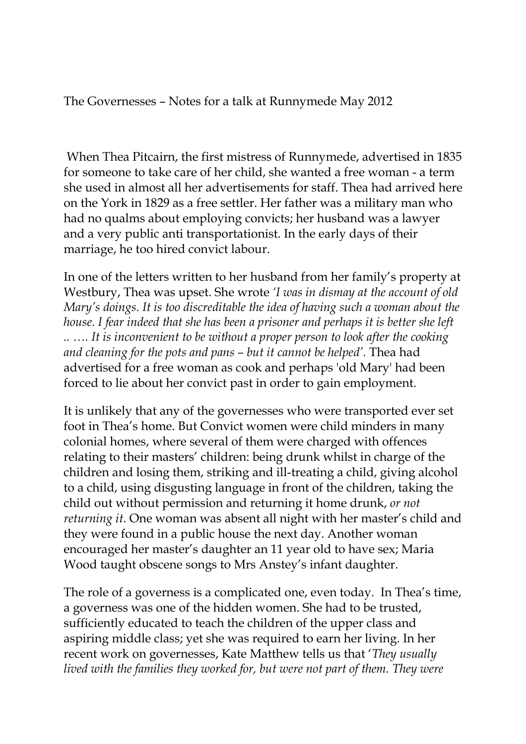The Governesses – Notes for a talk at Runnymede May 2012

 When Thea Pitcairn, the first mistress of Runnymede, advertised in 1835 for someone to take care of her child, she wanted a free woman - a term she used in almost all her advertisements for staff. Thea had arrived here on the York in 1829 as a free settler. Her father was a military man who had no qualms about employing convicts; her husband was a lawyer and a very public anti transportationist. In the early days of their marriage, he too hired convict labour.

In one of the letters written to her husband from her family's property at Westbury, Thea was upset. She wrote *'I was in dismay at the account of old Mary's doings. It is too discreditable the idea of having such a woman about the house. I fear indeed that she has been a prisoner and perhaps it is better she left .. …. It is inconvenient to be without a proper person to look after the cooking and cleaning for the pots and pans – but it cannot be helped'.* Thea had advertised for a free woman as cook and perhaps 'old Mary' had been forced to lie about her convict past in order to gain employment.

It is unlikely that any of the governesses who were transported ever set foot in Thea's home. But Convict women were child minders in many colonial homes, where several of them were charged with offences relating to their masters' children: being drunk whilst in charge of the children and losing them, striking and ill-treating a child, giving alcohol to a child, using disgusting language in front of the children, taking the child out without permission and returning it home drunk, *or not returning it*. One woman was absent all night with her master's child and they were found in a public house the next day. Another woman encouraged her master's daughter an 11 year old to have sex; Maria Wood taught obscene songs to Mrs Anstey's infant daughter.

The role of a governess is a complicated one, even today. In Thea's time, a governess was one of the hidden women. She had to be trusted, sufficiently educated to teach the children of the upper class and aspiring middle class; yet she was required to earn her living. In her recent work on governesses, Kate Matthew tells us that '*They usually lived with the families they worked for, but were not part of them. They were*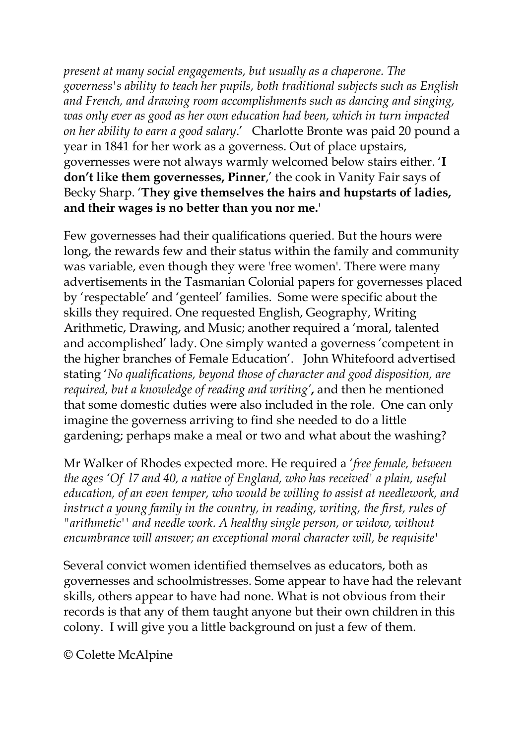*present at many social engagements, but usually as a chaperone. The governess's ability to teach her pupils, both traditional subjects such as English and French, and drawing room accomplishments such as dancing and singing, was only ever as good as her own education had been, which in turn impacted on her ability to earn a good salary*.' Charlotte Bronte was paid 20 pound a year in 1841 for her work as a governess. Out of place upstairs, governesses were not always warmly welcomed below stairs either. '**I don't like them governesses, Pinner**,' the cook in Vanity Fair says of Becky Sharp. '**They give themselves the hairs and hupstarts of ladies, and their wages is no better than you nor me.**'

Few governesses had their qualifications queried. But the hours were long, the rewards few and their status within the family and community was variable, even though they were 'free women'. There were many advertisements in the Tasmanian Colonial papers for governesses placed by 'respectable' and 'genteel' families. Some were specific about the skills they required. One requested English, Geography, Writing Arithmetic, Drawing, and Music; another required a 'moral, talented and accomplished' lady. One simply wanted a governess 'competent in the higher branches of Female Education'. John Whitefoord advertised stating '*No qualifications, beyond those of character and good disposition, are required, but a knowledge of reading and writing'***,** and then he mentioned that some domestic duties were also included in the role. One can only imagine the governess arriving to find she needed to do a little gardening; perhaps make a meal or two and what about the washing?

Mr Walker of Rhodes expected more. He required a '*free female, between the ages 'Of l7 and 40, a native of England, who has received' a plain, useful education, of an even temper, who would be willing to assist at needlework, and instruct a young family in the country, in reading, writing, the first, rules of "arithmetic'' and needle work. A healthy single person, or widow, without encumbrance will answer; an exceptional moral character will, be requisite'*

Several convict women identified themselves as educators, both as governesses and schoolmistresses. Some appear to have had the relevant skills, others appear to have had none. What is not obvious from their records is that any of them taught anyone but their own children in this colony. I will give you a little background on just a few of them.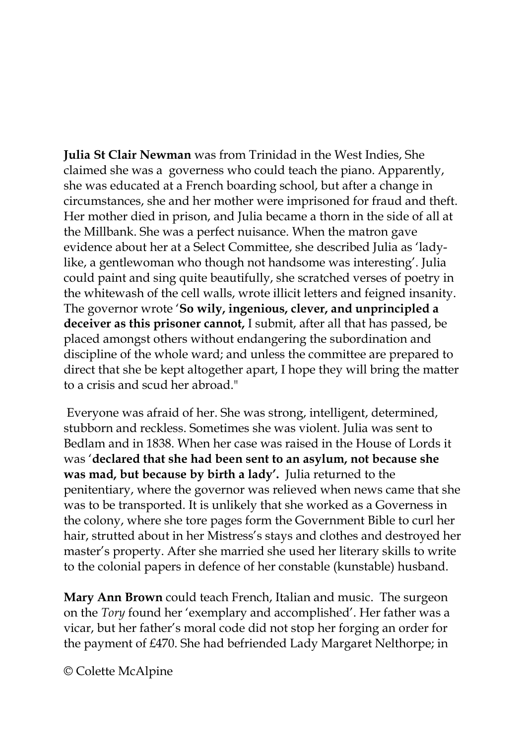**Julia St Clair Newman** was from Trinidad in the West Indies, She claimed she was a governess who could teach the piano. Apparently, she was educated at a French boarding school, but after a change in circumstances, she and her mother were imprisoned for fraud and theft. Her mother died in prison, and Julia became a thorn in the side of all at the Millbank. She was a perfect nuisance. When the matron gave evidence about her at a Select Committee, she described Julia as 'ladylike, a gentlewoman who though not handsome was interesting'. Julia could paint and sing quite beautifully, she scratched verses of poetry in the whitewash of the cell walls, wrote illicit letters and feigned insanity. The governor wrote '**So wily, ingenious, clever, and unprincipled a deceiver as this prisoner cannot,** I submit, after all that has passed, be placed amongst others without endangering the subordination and discipline of the whole ward; and unless the committee are prepared to direct that she be kept altogether apart, I hope they will bring the matter to a crisis and scud her abroad."

 Everyone was afraid of her. She was strong, intelligent, determined, stubborn and reckless. Sometimes she was violent. Julia was sent to Bedlam and in 1838. When her case was raised in the House of Lords it was '**declared that she had been sent to an asylum, not because she was mad, but because by birth a lady'.** Julia returned to the penitentiary, where the governor was relieved when news came that she was to be transported. It is unlikely that she worked as a Governess in the colony, where she tore pages form the Government Bible to curl her hair, strutted about in her Mistress's stays and clothes and destroyed her master's property. After she married she used her literary skills to write to the colonial papers in defence of her constable (kunstable) husband.

**Mary Ann Brown** could teach French, Italian and music. The surgeon on the *Tory* found her 'exemplary and accomplished'. Her father was a vicar, but her father's moral code did not stop her forging an order for the payment of £470. She had befriended Lady Margaret Nelthorpe; in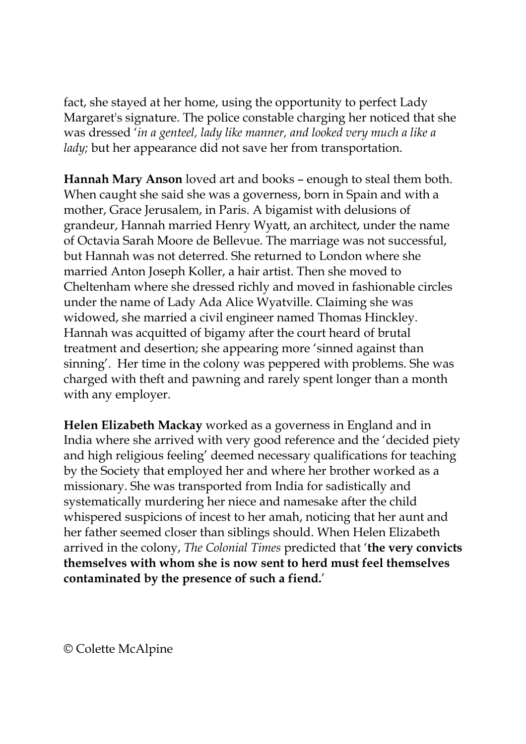fact, she stayed at her home, using the opportunity to perfect Lady Margaret's signature. The police constable charging her noticed that she was dressed '*in a genteel, lady like manner, and looked very much a like a lady*; but her appearance did not save her from transportation.

**Hannah Mary Anson** loved art and books – enough to steal them both. When caught she said she was a governess, born in Spain and with a mother, Grace Jerusalem, in Paris. A bigamist with delusions of grandeur, Hannah married Henry Wyatt, an architect, under the name of Octavia Sarah Moore de Bellevue. The marriage was not successful, but Hannah was not deterred. She returned to London where she married Anton Joseph Koller, a hair artist. Then she moved to Cheltenham where she dressed richly and moved in fashionable circles under the name of Lady Ada Alice Wyatville. Claiming she was widowed, she married a civil engineer named Thomas Hinckley. Hannah was acquitted of bigamy after the court heard of brutal treatment and desertion; she appearing more 'sinned against than sinning'. Her time in the colony was peppered with problems. She was charged with theft and pawning and rarely spent longer than a month with any employer.

**Helen Elizabeth Mackay** worked as a governess in England and in India where she arrived with very good reference and the 'decided piety and high religious feeling' deemed necessary qualifications for teaching by the Society that employed her and where her brother worked as a missionary. She was transported from India for sadistically and systematically murdering her niece and namesake after the child whispered suspicions of incest to her amah, noticing that her aunt and her father seemed closer than siblings should. When Helen Elizabeth arrived in the colony, *The Colonial Times* predicted that '**the very convicts themselves with whom she is now sent to herd must feel themselves contaminated by the presence of such a fiend.**'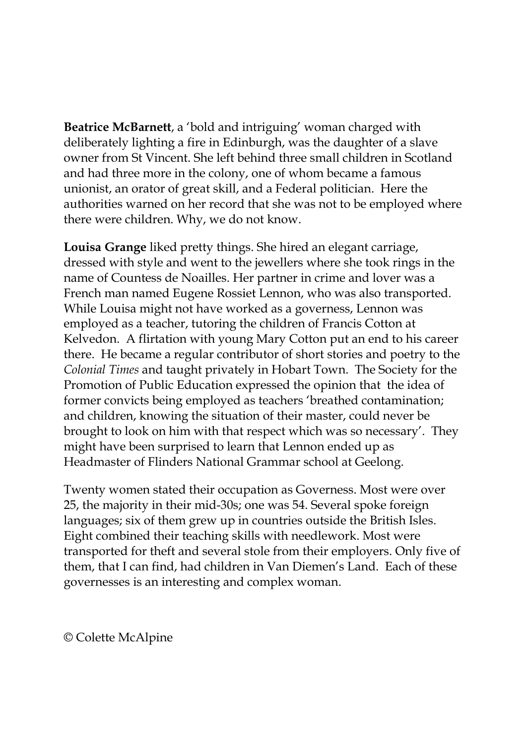**Beatrice McBarnett**, a 'bold and intriguing' woman charged with deliberately lighting a fire in Edinburgh, was the daughter of a slave owner from St Vincent. She left behind three small children in Scotland and had three more in the colony, one of whom became a famous unionist, an orator of great skill, and a Federal politician. Here the authorities warned on her record that she was not to be employed where there were children. Why, we do not know.

**Louisa Grange** liked pretty things. She hired an elegant carriage, dressed with style and went to the jewellers where she took rings in the name of Countess de Noailles. Her partner in crime and lover was a French man named Eugene Rossiet Lennon, who was also transported. While Louisa might not have worked as a governess, Lennon was employed as a teacher, tutoring the children of Francis Cotton at Kelvedon. A flirtation with young Mary Cotton put an end to his career there. He became a regular contributor of short stories and poetry to the *Colonial Times* and taught privately in Hobart Town. The Society for the Promotion of Public Education expressed the opinion that the idea of former convicts being employed as teachers 'breathed contamination; and children, knowing the situation of their master, could never be brought to look on him with that respect which was so necessary'. They might have been surprised to learn that Lennon ended up as Headmaster of Flinders National Grammar school at Geelong.

Twenty women stated their occupation as Governess. Most were over 25, the majority in their mid-30s; one was 54. Several spoke foreign languages; six of them grew up in countries outside the British Isles. Eight combined their teaching skills with needlework. Most were transported for theft and several stole from their employers. Only five of them, that I can find, had children in Van Diemen's Land. Each of these governesses is an interesting and complex woman.